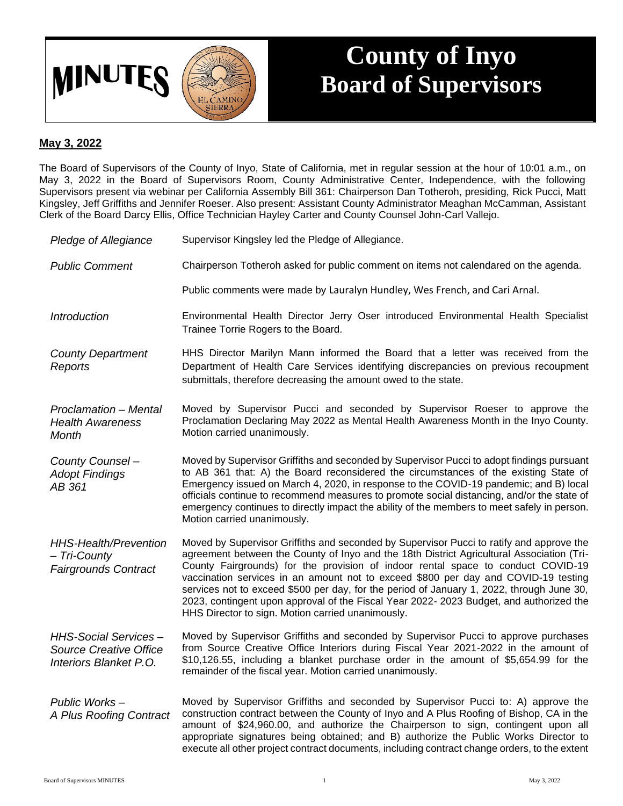

## **County of Inyo Board of Supervisors**

## **May 3, 2022**

The Board of Supervisors of the County of Inyo, State of California, met in regular session at the hour of 10:01 a.m., on May 3, 2022 in the Board of Supervisors Room, County Administrative Center, Independence, with the following Supervisors present via webinar per California Assembly Bill 361: Chairperson Dan Totheroh, presiding, Rick Pucci, Matt Kingsley, Jeff Griffiths and Jennifer Roeser. Also present: Assistant County Administrator Meaghan McCamman, Assistant Clerk of the Board Darcy Ellis, Office Technician Hayley Carter and County Counsel John-Carl Vallejo.

- *Pledge of Allegiance* Supervisor Kingsley led the Pledge of Allegiance.
- *Public Comment* Chairperson Totheroh asked for public comment on items not calendared on the agenda.
	- Public comments were made by Lauralyn Hundley, Wes French, and Cari Arnal.
- *Introduction* Environmental Health Director Jerry Oser introduced Environmental Health Specialist Trainee Torrie Rogers to the Board.

*County Department Reports* HHS Director Marilyn Mann informed the Board that a letter was received from the Department of Health Care Services identifying discrepancies on previous recoupment submittals, therefore decreasing the amount owed to the state.

- *Proclamation – Mental Health Awareness Month* Moved by Supervisor Pucci and seconded by Supervisor Roeser to approve the Proclamation Declaring May 2022 as Mental Health Awareness Month in the Inyo County. Motion carried unanimously.
- *County Counsel – Adopt Findings AB 361* Moved by Supervisor Griffiths and seconded by Supervisor Pucci to adopt findings pursuant to AB 361 that: A) the Board reconsidered the circumstances of the existing State of Emergency issued on March 4, 2020, in response to the COVID-19 pandemic; and B) local officials continue to recommend measures to promote social distancing, and/or the state of emergency continues to directly impact the ability of the members to meet safely in person. Motion carried unanimously.

*HHS-Health/Prevention – Tri-County Fairgrounds Contract* Moved by Supervisor Griffiths and seconded by Supervisor Pucci to ratify and approve the agreement between the County of Inyo and the 18th District Agricultural Association (Tri-County Fairgrounds) for the provision of indoor rental space to conduct COVID-19 vaccination services in an amount not to exceed \$800 per day and COVID-19 testing services not to exceed \$500 per day, for the period of January 1, 2022, through June 30, 2023, contingent upon approval of the Fiscal Year 2022- 2023 Budget, and authorized the HHS Director to sign. Motion carried unanimously.

*HHS-Social Services – Source Creative Office Interiors Blanket P.O.* Moved by Supervisor Griffiths and seconded by Supervisor Pucci to approve purchases from Source Creative Office Interiors during Fiscal Year 2021-2022 in the amount of \$10,126.55, including a blanket purchase order in the amount of \$5,654.99 for the remainder of the fiscal year. Motion carried unanimously.

*Public Works – A Plus Roofing Contract* Moved by Supervisor Griffiths and seconded by Supervisor Pucci to: A) approve the construction contract between the County of Inyo and A Plus Roofing of Bishop, CA in the amount of \$24,960.00, and authorize the Chairperson to sign, contingent upon all appropriate signatures being obtained; and B) authorize the Public Works Director to execute all other project contract documents, including contract change orders, to the extent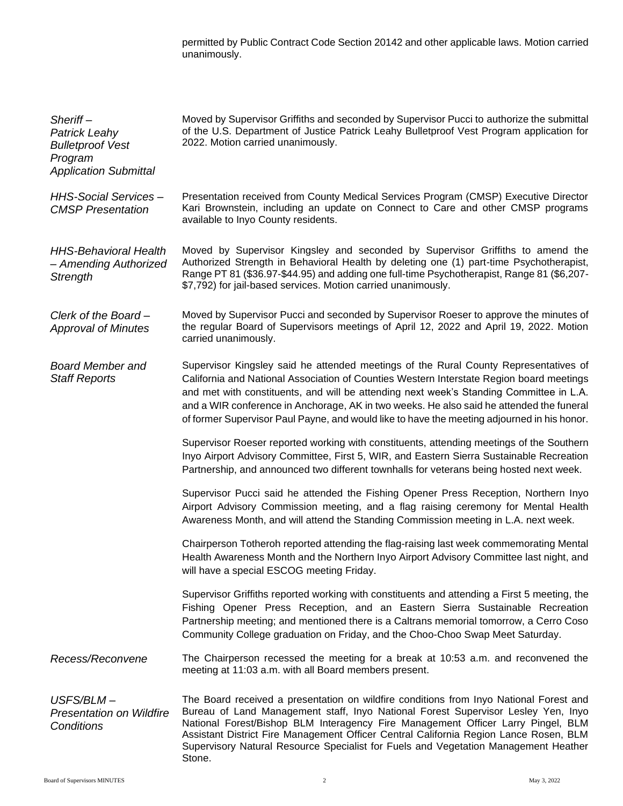permitted by Public Contract Code Section 20142 and other applicable laws. Motion carried unanimously.

| $Sheriff-$<br><b>Patrick Leahy</b><br><b>Bulletproof Vest</b><br>Program<br><b>Application Submittal</b> | Moved by Supervisor Griffiths and seconded by Supervisor Pucci to authorize the submittal<br>of the U.S. Department of Justice Patrick Leahy Bulletproof Vest Program application for<br>2022. Motion carried unanimously.                                                                                                                                                                                                                                             |
|----------------------------------------------------------------------------------------------------------|------------------------------------------------------------------------------------------------------------------------------------------------------------------------------------------------------------------------------------------------------------------------------------------------------------------------------------------------------------------------------------------------------------------------------------------------------------------------|
| <b>HHS-Social Services-</b><br><b>CMSP</b> Presentation                                                  | Presentation received from County Medical Services Program (CMSP) Executive Director<br>Kari Brownstein, including an update on Connect to Care and other CMSP programs<br>available to Inyo County residents.                                                                                                                                                                                                                                                         |
| <b>HHS-Behavioral Health</b><br>- Amending Authorized<br>Strength                                        | Moved by Supervisor Kingsley and seconded by Supervisor Griffiths to amend the<br>Authorized Strength in Behavioral Health by deleting one (1) part-time Psychotherapist,<br>Range PT 81 (\$36.97-\$44.95) and adding one full-time Psychotherapist, Range 81 (\$6,207-<br>\$7,792) for jail-based services. Motion carried unanimously.                                                                                                                               |
| Clerk of the Board-<br><b>Approval of Minutes</b>                                                        | Moved by Supervisor Pucci and seconded by Supervisor Roeser to approve the minutes of<br>the regular Board of Supervisors meetings of April 12, 2022 and April 19, 2022. Motion<br>carried unanimously.                                                                                                                                                                                                                                                                |
| <b>Board Member and</b><br><b>Staff Reports</b>                                                          | Supervisor Kingsley said he attended meetings of the Rural County Representatives of<br>California and National Association of Counties Western Interstate Region board meetings<br>and met with constituents, and will be attending next week's Standing Committee in L.A.<br>and a WIR conference in Anchorage, AK in two weeks. He also said he attended the funeral<br>of former Supervisor Paul Payne, and would like to have the meeting adjourned in his honor. |
|                                                                                                          | Supervisor Roeser reported working with constituents, attending meetings of the Southern<br>Inyo Airport Advisory Committee, First 5, WIR, and Eastern Sierra Sustainable Recreation<br>Partnership, and announced two different townhalls for veterans being hosted next week.                                                                                                                                                                                        |
|                                                                                                          | Supervisor Pucci said he attended the Fishing Opener Press Reception, Northern Inyo<br>Airport Advisory Commission meeting, and a flag raising ceremony for Mental Health<br>Awareness Month, and will attend the Standing Commission meeting in L.A. next week.                                                                                                                                                                                                       |
|                                                                                                          | Chairperson Totheroh reported attending the flag-raising last week commemorating Mental<br>Health Awareness Month and the Northern Inyo Airport Advisory Committee last night, and<br>will have a special ESCOG meeting Friday.                                                                                                                                                                                                                                        |
|                                                                                                          | Supervisor Griffiths reported working with constituents and attending a First 5 meeting, the<br>Fishing Opener Press Reception, and an Eastern Sierra Sustainable Recreation<br>Partnership meeting; and mentioned there is a Caltrans memorial tomorrow, a Cerro Coso<br>Community College graduation on Friday, and the Choo-Choo Swap Meet Saturday.                                                                                                                |
| Recess/Reconvene                                                                                         | The Chairperson recessed the meeting for a break at 10:53 a.m. and reconvened the<br>meeting at 11:03 a.m. with all Board members present.                                                                                                                                                                                                                                                                                                                             |
| USFS/BLM-<br><b>Presentation on Wildfire</b><br>Conditions                                               | The Board received a presentation on wildfire conditions from Inyo National Forest and<br>Bureau of Land Management staff, Inyo National Forest Supervisor Lesley Yen, Inyo<br>National Forest/Bishop BLM Interagency Fire Management Officer Larry Pingel, BLM<br>Assistant District Fire Management Officer Central California Region Lance Rosen, BLM<br>Supervisory Natural Resource Specialist for Fuels and Vegetation Management Heather<br>Stone.              |